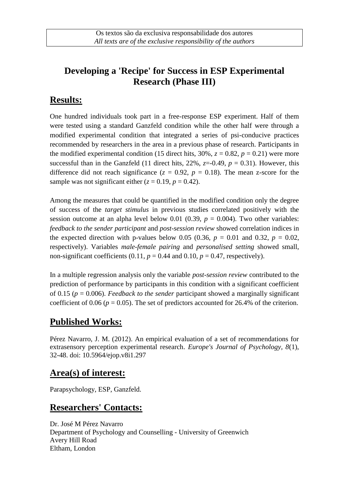## **Developing a 'Recipe' for Success in ESP Experimental Research (Phase III)**

#### **Results:**

One hundred individuals took part in a free-response ESP experiment. Half of them were tested using a standard Ganzfeld condition while the other half were through a modified experimental condition that integrated a series of psi-conducive practices recommended by researchers in the area in a previous phase of research. Participants in the modified experimental condition (15 direct hits, 30%,  $z = 0.82$ ,  $p = 0.21$ ) were more successful than in the Ganzfeld (11 direct hits, 22%,  $z=0.49$ ,  $p = 0.31$ ). However, this difference did not reach significance  $(z = 0.92, p = 0.18)$ . The mean z-score for the sample was not significant either  $(z = 0.19, p = 0.42)$ .

Among the measures that could be quantified in the modified condition only the degree of success of the *target stimulus* in previous studies correlated positively with the session outcome at an alpha level below 0.01 (0.39,  $p = 0.004$ ). Two other variables: *feedback to the sender participant* and *post-session review* showed correlation indices in the expected direction with p-values below 0.05 (0.36,  $p = 0.01$  and 0.32,  $p = 0.02$ , respectively). Variables *male-female pairing* and *personalised setting* showed small, non-significant coefficients  $(0.11, p = 0.44$  and  $0.10, p = 0.47$ , respectively).

In a multiple regression analysis only the variable *post-session review* contributed to the prediction of performance by participants in this condition with a significant coefficient of 0.15 (*p* = 0.006). *Feedback to the sender* participant showed a marginally significant coefficient of 0.06 ( $p = 0.05$ ). The set of predictors accounted for 26.4% of the criterion.

# **Published Works:**

Pérez Navarro, J. M. (2012). An empirical evaluation of a set of recommendations for extrasensory perception experimental research. *Europe's Journal of Psychology, 8*(1), 32-48. [doi: 10.5964/ejop.v8i1.297](http://dx.doi.org/10.5964/ejop.v8i1.297)

#### **Area(s) of interest:**

Parapsychology, ESP, Ganzfeld.

### **Researchers' Contacts:**

Dr. José M Pérez Navarro Department of Psychology and Counselling - University of Greenwich Avery Hill Road Eltham, London